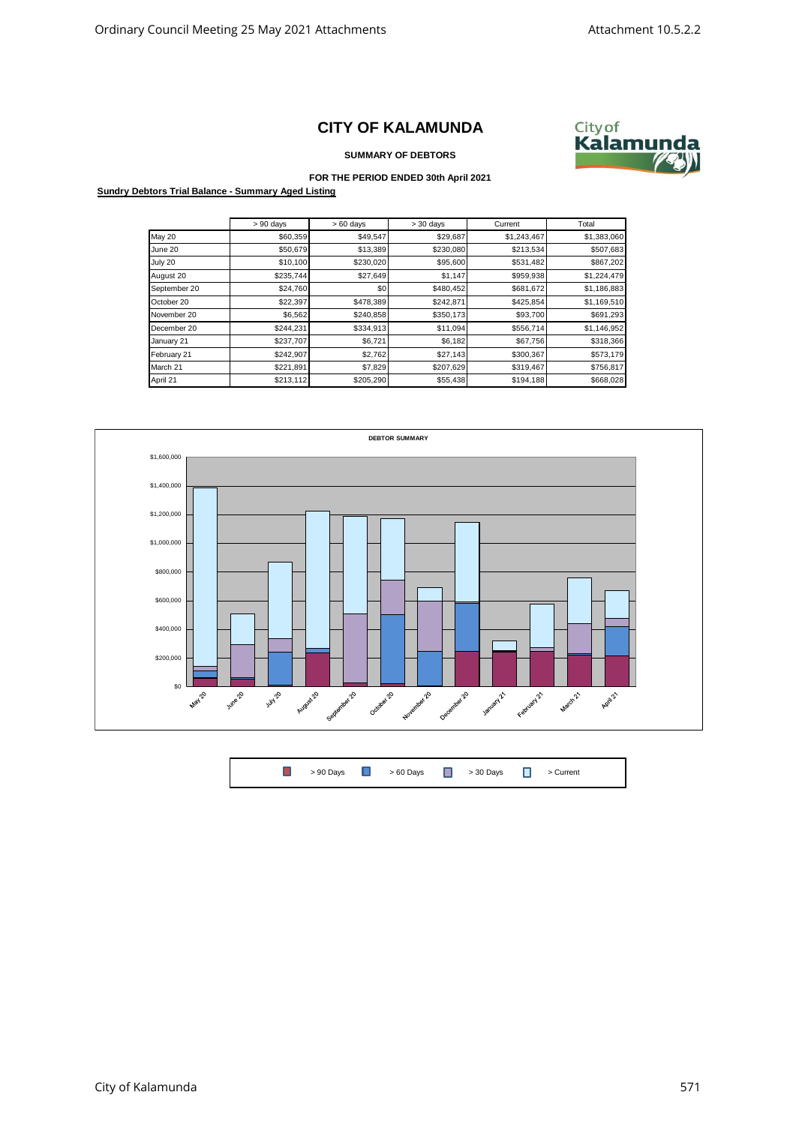## **CITY OF KALAMUNDA**



## **SUMMARY OF DEBTORS**

## **FOR THE PERIOD ENDED 30th April 2021**

**Sundry Debtors Trial Balance - Summary Aged Listing**

|               | $> 90$ days | $>60$ days | $> 30$ days | Current     | Total       |
|---------------|-------------|------------|-------------|-------------|-------------|
| <b>May 20</b> | \$60,359    | \$49,547   | \$29,687    | \$1,243,467 | \$1,383,060 |
| June 20       | \$50,679    | \$13,389   | \$230,080   | \$213,534   | \$507,683   |
| July 20       | \$10,100    | \$230,020  | \$95,600    | \$531,482   | \$867,202   |
| August 20     | \$235,744   | \$27,649   | \$1,147     | \$959,938   | \$1,224,479 |
| September 20  | \$24,760    | \$0        | \$480,452   | \$681,672   | \$1,186,883 |
| October 20    | \$22,397    | \$478,389  | \$242,871   | \$425,854   | \$1,169,510 |
| November 20   | \$6,562     | \$240,858  | \$350,173   | \$93,700    | \$691,293   |
| December 20   | \$244,231   | \$334,913  | \$11,094    | \$556,714   | \$1,146,952 |
| January 21    | \$237,707   | \$6,721    | \$6,182     | \$67,756    | \$318,366   |
| February 21   | \$242,907   | \$2,762    | \$27,143    | \$300,367   | \$573,179   |
| March 21      | \$221,891   | \$7,829    | \$207,629   | \$319,467   | \$756,817   |
| April 21      | \$213,112   | \$205,290  | \$55,438    | \$194,188   | \$668,028   |



 $\Box$ > 90 Days  $\begin{array}{ccc} \hline \end{array}$  > 60 Days  $\begin{array}{ccc} \hline \end{array}$  > 30 Days  $\begin{array}{ccc} \hline \end{array}$  > Current